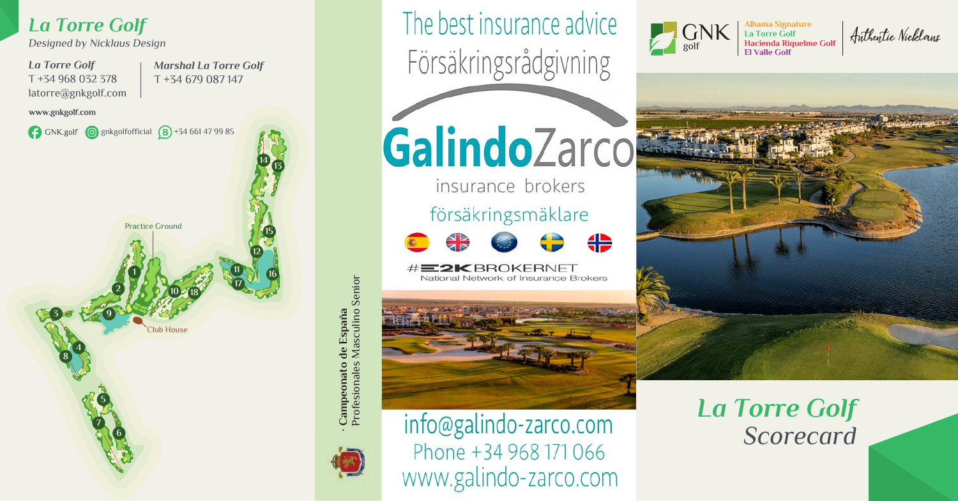

Profesionales Masculino Senior ato de España<br>iles Masculino Senior **· Campeonato de España** Profesi Camp





The best insurance advice

Försäkringsrådgivning

GalindoZarco

insurance brokers

## försäkringsmäklare

₩



**2K BROKERNET** National Network of Insurance Brokers



*La Torre Golf Scorecard*

Alhama Signature<br>Ha Torre Golf<br>Hacienda Riquelme Golf | A*nthentic Nicklaus*<br>El Valle Golf



GNK golf